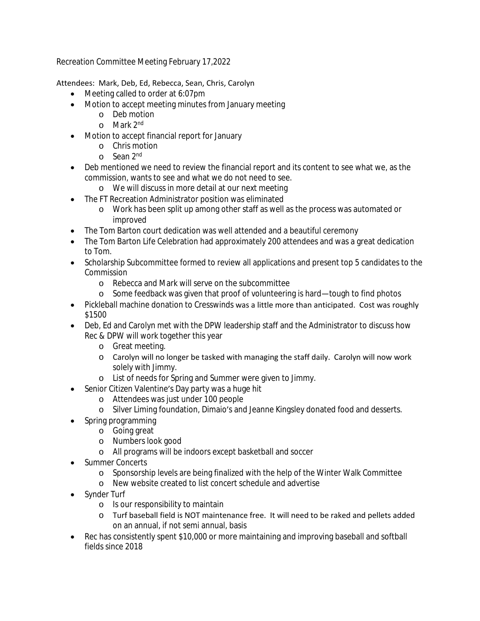Recreation Committee Meeting February 17,2022

## Attendees: Mark, Deb, Ed, Rebecca, Sean, Chris, Carolyn

- Meeting called to order at 6:07pm
- Motion to accept meeting minutes from January meeting
	- o Deb motion
	- o Mark 2nd
- Motion to accept financial report for January
	- o Chris motion
	- o Sean 2<sup>nd</sup>
- Deb mentioned we need to review the financial report and its content to see what we, as the commission, wants to see and what we do not need to see.
	- o We will discuss in more detail at our next meeting
- The FT Recreation Administrator position was eliminated
	- o Work has been split up among other staff as well as the process was automated or improved
- The Tom Barton court dedication was well attended and a beautiful ceremony
- The Tom Barton Life Celebration had approximately 200 attendees and was a great dedication to Tom.
- Scholarship Subcommittee formed to review all applications and present top 5 candidates to the Commission
	- o Rebecca and Mark will serve on the subcommittee
	- o Some feedback was given that proof of volunteering is hard—tough to find photos
- Pickleball machine donation to Cresswinds was a little more than anticipated. Cost was roughly \$1500
- Deb, Ed and Carolyn met with the DPW leadership staff and the Administrator to discuss how Rec & DPW will work together this year
	- o Great meeting.
	- o Carolyn will no longer be tasked with managing the staff daily. Carolyn will now work solely with Jimmy.
	- o List of needs for Spring and Summer were given to Jimmy.
- Senior Citizen Valentine's Day party was a huge hit
	- o Attendees was just under 100 people
	- o Silver Liming foundation, Dimaio's and Jeanne Kingsley donated food and desserts.
- Spring programming
	- o Going great
	- o Numbers look good
	- o All programs will be indoors except basketball and soccer
- Summer Concerts
	- o Sponsorship levels are being finalized with the help of the Winter Walk Committee
	- o New website created to list concert schedule and advertise
- Synder Turf
	- o Is our responsibility to maintain
	- o Turf baseball field is NOT maintenance free. It will need to be raked and pellets added on an annual, if not semi annual, basis
- Rec has consistently spent \$10,000 or more maintaining and improving baseball and softball fields since 2018